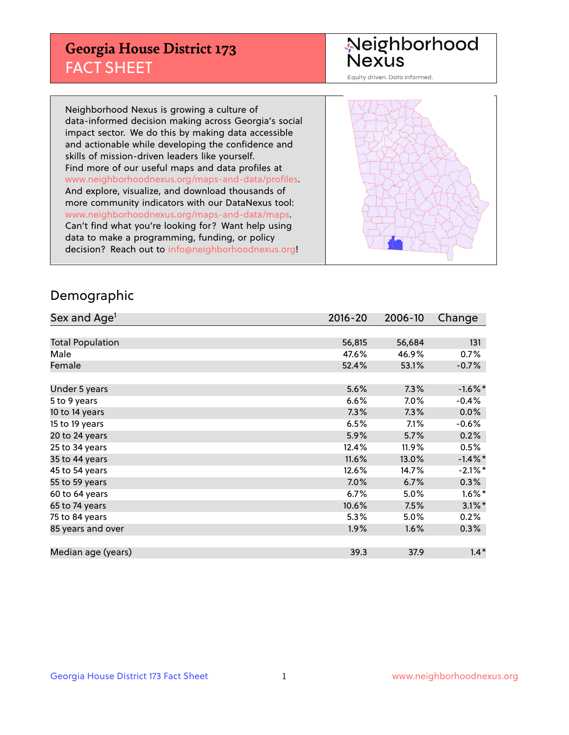## **Georgia House District 173** FACT SHEET

# Neighborhood<br>Nexus

Equity driven. Data informed.

Neighborhood Nexus is growing a culture of data-informed decision making across Georgia's social impact sector. We do this by making data accessible and actionable while developing the confidence and skills of mission-driven leaders like yourself. Find more of our useful maps and data profiles at www.neighborhoodnexus.org/maps-and-data/profiles. And explore, visualize, and download thousands of more community indicators with our DataNexus tool: www.neighborhoodnexus.org/maps-and-data/maps. Can't find what you're looking for? Want help using data to make a programming, funding, or policy decision? Reach out to [info@neighborhoodnexus.org!](mailto:info@neighborhoodnexus.org)



### Demographic

| Sex and Age <sup>1</sup> | $2016 - 20$ | 2006-10 | Change               |
|--------------------------|-------------|---------|----------------------|
|                          |             |         |                      |
| <b>Total Population</b>  | 56,815      | 56,684  | 131                  |
| Male                     | 47.6%       | 46.9%   | 0.7%                 |
| Female                   | 52.4%       | 53.1%   | $-0.7%$              |
|                          |             |         |                      |
| Under 5 years            | 5.6%        | 7.3%    | $-1.6\%$ *           |
| 5 to 9 years             | 6.6%        | $7.0\%$ | $-0.4%$              |
| 10 to 14 years           | 7.3%        | 7.3%    | 0.0%                 |
| 15 to 19 years           | 6.5%        | 7.1%    | $-0.6%$              |
| 20 to 24 years           | 5.9%        | 5.7%    | 0.2%                 |
| 25 to 34 years           | 12.4%       | 11.9%   | 0.5%                 |
| 35 to 44 years           | 11.6%       | 13.0%   | $-1.4\%$ *           |
| 45 to 54 years           | 12.6%       | 14.7%   | $-2.1\%$ *           |
| 55 to 59 years           | 7.0%        | 6.7%    | 0.3%                 |
| 60 to 64 years           | 6.7%        | 5.0%    | $1.6\%$ <sup>*</sup> |
| 65 to 74 years           | 10.6%       | 7.5%    | $3.1\%$ *            |
| 75 to 84 years           | 5.3%        | 5.0%    | 0.2%                 |
| 85 years and over        | 1.9%        | 1.6%    | 0.3%                 |
|                          |             |         |                      |
| Median age (years)       | 39.3        | 37.9    | $1.4*$               |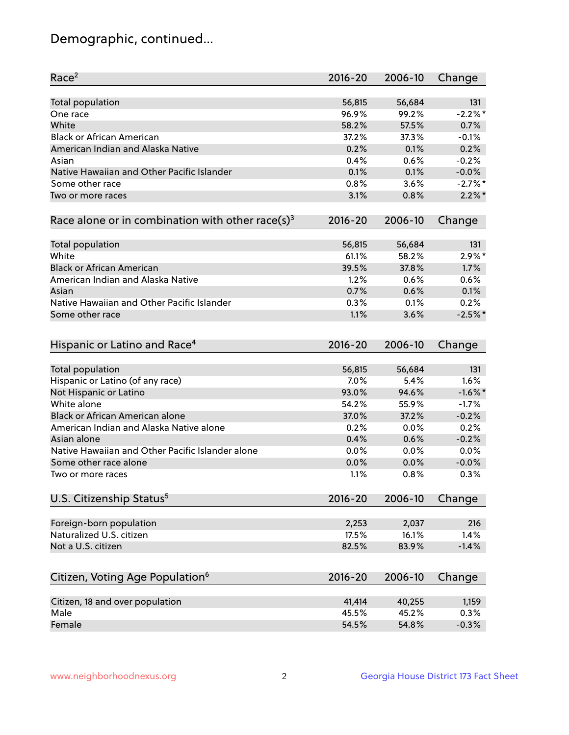## Demographic, continued...

| Race <sup>2</sup>                                            | $2016 - 20$ | 2006-10 | Change     |
|--------------------------------------------------------------|-------------|---------|------------|
| <b>Total population</b>                                      | 56,815      | 56,684  | 131        |
| One race                                                     | 96.9%       | 99.2%   | $-2.2%$    |
| White                                                        | 58.2%       | 57.5%   | 0.7%       |
| <b>Black or African American</b>                             | 37.2%       | 37.3%   | $-0.1%$    |
| American Indian and Alaska Native                            | 0.2%        | 0.1%    | 0.2%       |
| Asian                                                        | 0.4%        | 0.6%    | $-0.2%$    |
| Native Hawaiian and Other Pacific Islander                   | 0.1%        | 0.1%    | $-0.0%$    |
| Some other race                                              | 0.8%        | 3.6%    | $-2.7\%$ * |
| Two or more races                                            | 3.1%        | 0.8%    | $2.2\%$ *  |
| Race alone or in combination with other race(s) <sup>3</sup> | $2016 - 20$ | 2006-10 | Change     |
|                                                              |             |         |            |
| <b>Total population</b>                                      | 56,815      | 56,684  | 131        |
| White                                                        | 61.1%       | 58.2%   | $2.9\%$ *  |
| <b>Black or African American</b>                             | 39.5%       | 37.8%   | 1.7%       |
| American Indian and Alaska Native                            | 1.2%        | 0.6%    | 0.6%       |
| Asian                                                        | 0.7%        | 0.6%    | 0.1%       |
| Native Hawaiian and Other Pacific Islander                   | 0.3%        | 0.1%    | 0.2%       |
| Some other race                                              | 1.1%        | 3.6%    | $-2.5%$    |
| Hispanic or Latino and Race <sup>4</sup>                     | $2016 - 20$ | 2006-10 | Change     |
| <b>Total population</b>                                      | 56,815      | 56,684  | 131        |
| Hispanic or Latino (of any race)                             | 7.0%        | 5.4%    | 1.6%       |
| Not Hispanic or Latino                                       | 93.0%       | 94.6%   | $-1.6%$ *  |
| White alone                                                  | 54.2%       | 55.9%   | $-1.7%$    |
| <b>Black or African American alone</b>                       | 37.0%       | 37.2%   | $-0.2%$    |
|                                                              |             |         |            |
| American Indian and Alaska Native alone                      | 0.2%        | 0.0%    | 0.2%       |
| Asian alone                                                  | 0.4%        | 0.6%    | $-0.2%$    |
| Native Hawaiian and Other Pacific Islander alone             | 0.0%        | 0.0%    | 0.0%       |
| Some other race alone                                        | 0.0%        | 0.0%    | $-0.0%$    |
| Two or more races                                            | 1.1%        | 0.8%    | 0.3%       |
| U.S. Citizenship Status <sup>5</sup>                         | $2016 - 20$ | 2006-10 | Change     |
| Foreign-born population                                      | 2,253       | 2,037   | 216        |
| Naturalized U.S. citizen                                     | 17.5%       | 16.1%   | 1.4%       |
| Not a U.S. citizen                                           | 82.5%       | 83.9%   | $-1.4%$    |
|                                                              |             |         |            |
| Citizen, Voting Age Population <sup>6</sup>                  | $2016 - 20$ | 2006-10 | Change     |
| Citizen, 18 and over population                              | 41,414      | 40,255  | 1,159      |
| Male                                                         | 45.5%       | 45.2%   | 0.3%       |
| Female                                                       | 54.5%       | 54.8%   | $-0.3%$    |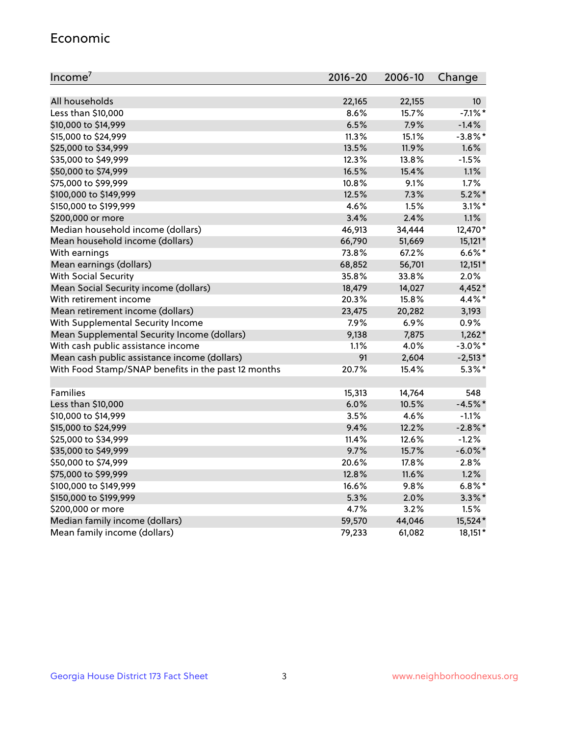#### Economic

| Income <sup>7</sup>                                 | $2016 - 20$ | 2006-10 | Change          |
|-----------------------------------------------------|-------------|---------|-----------------|
|                                                     |             |         |                 |
| All households                                      | 22,165      | 22,155  | 10 <sup>°</sup> |
| Less than \$10,000                                  | 8.6%        | 15.7%   | $-7.1\%$ *      |
| \$10,000 to \$14,999                                | 6.5%        | 7.9%    | $-1.4%$         |
| \$15,000 to \$24,999                                | 11.3%       | 15.1%   | $-3.8\%$ *      |
| \$25,000 to \$34,999                                | 13.5%       | 11.9%   | 1.6%            |
| \$35,000 to \$49,999                                | 12.3%       | 13.8%   | $-1.5%$         |
| \$50,000 to \$74,999                                | 16.5%       | 15.4%   | 1.1%            |
| \$75,000 to \$99,999                                | 10.8%       | 9.1%    | 1.7%            |
| \$100,000 to \$149,999                              | 12.5%       | 7.3%    | $5.2%$ *        |
| \$150,000 to \$199,999                              | 4.6%        | 1.5%    | $3.1\%$ *       |
| \$200,000 or more                                   | 3.4%        | 2.4%    | 1.1%            |
| Median household income (dollars)                   | 46,913      | 34,444  | 12,470*         |
| Mean household income (dollars)                     | 66,790      | 51,669  | $15,121*$       |
| With earnings                                       | 73.8%       | 67.2%   | $6.6\%$ *       |
| Mean earnings (dollars)                             | 68,852      | 56,701  | 12,151*         |
| <b>With Social Security</b>                         | 35.8%       | 33.8%   | 2.0%            |
| Mean Social Security income (dollars)               | 18,479      | 14,027  | 4,452*          |
| With retirement income                              | 20.3%       | 15.8%   | 4.4%*           |
| Mean retirement income (dollars)                    | 23,475      | 20,282  | 3,193           |
| With Supplemental Security Income                   | 7.9%        | 6.9%    | 0.9%            |
| Mean Supplemental Security Income (dollars)         | 9,138       | 7,875   | $1,262*$        |
| With cash public assistance income                  | 1.1%        | 4.0%    | $-3.0\%$ *      |
| Mean cash public assistance income (dollars)        | 91          | 2,604   | $-2,513*$       |
| With Food Stamp/SNAP benefits in the past 12 months | 20.7%       | 15.4%   | $5.3\%$ *       |
|                                                     |             |         |                 |
| Families                                            | 15,313      | 14,764  | 548             |
| Less than \$10,000                                  | 6.0%        | 10.5%   | $-4.5%$ *       |
| \$10,000 to \$14,999                                | 3.5%        | 4.6%    | $-1.1%$         |
| \$15,000 to \$24,999                                | 9.4%        | 12.2%   | $-2.8%$         |
| \$25,000 to \$34,999                                | 11.4%       | 12.6%   | $-1.2%$         |
| \$35,000 to \$49,999                                | 9.7%        | 15.7%   | $-6.0\%$ *      |
| \$50,000 to \$74,999                                | 20.6%       | 17.8%   | 2.8%            |
| \$75,000 to \$99,999                                | 12.8%       | 11.6%   | 1.2%            |
| \$100,000 to \$149,999                              | 16.6%       | 9.8%    | $6.8\%$ *       |
| \$150,000 to \$199,999                              | 5.3%        | 2.0%    | $3.3\%$ *       |
| \$200,000 or more                                   | 4.7%        | 3.2%    | 1.5%            |
| Median family income (dollars)                      | 59,570      | 44,046  | 15,524*         |
| Mean family income (dollars)                        | 79,233      | 61,082  | 18,151*         |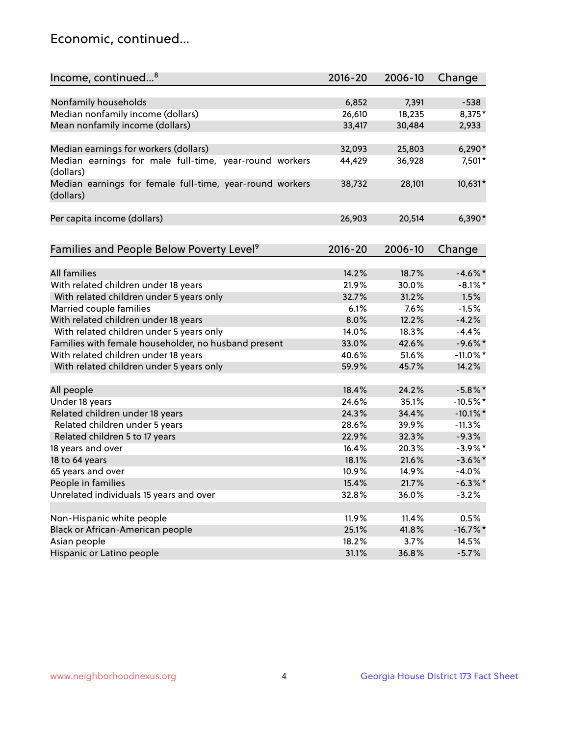## Economic, continued...

| Income, continued <sup>8</sup>                           | $2016 - 20$ | 2006-10 | Change      |
|----------------------------------------------------------|-------------|---------|-------------|
|                                                          |             |         |             |
| Nonfamily households                                     | 6,852       | 7,391   | $-538$      |
| Median nonfamily income (dollars)                        | 26,610      | 18,235  | 8,375*      |
| Mean nonfamily income (dollars)                          | 33,417      | 30,484  | 2,933       |
|                                                          |             |         |             |
| Median earnings for workers (dollars)                    | 32,093      | 25,803  | $6,290*$    |
| Median earnings for male full-time, year-round workers   | 44,429      | 36,928  | 7,501*      |
| (dollars)                                                |             |         |             |
| Median earnings for female full-time, year-round workers | 38,732      | 28,101  | 10,631*     |
| (dollars)                                                |             |         |             |
|                                                          |             |         |             |
| Per capita income (dollars)                              | 26,903      | 20,514  | $6,390*$    |
|                                                          |             |         |             |
| Families and People Below Poverty Level <sup>9</sup>     | $2016 - 20$ | 2006-10 | Change      |
|                                                          |             |         |             |
| All families                                             | 14.2%       | 18.7%   | $-4.6\%$ *  |
| With related children under 18 years                     | 21.9%       | 30.0%   | $-8.1\%$ *  |
| With related children under 5 years only                 | 32.7%       | 31.2%   | 1.5%        |
| Married couple families                                  | 6.1%        | 7.6%    | $-1.5%$     |
| With related children under 18 years                     | 8.0%        | 12.2%   | $-4.2%$     |
| With related children under 5 years only                 | 14.0%       | 18.3%   | $-4.4%$     |
| Families with female householder, no husband present     | 33.0%       | 42.6%   | $-9.6\%$ *  |
| With related children under 18 years                     | 40.6%       | 51.6%   | $-11.0\%$ * |
| With related children under 5 years only                 | 59.9%       | 45.7%   | 14.2%       |
|                                                          |             |         |             |
| All people                                               | 18.4%       | 24.2%   | $-5.8\%$ *  |
| Under 18 years                                           | 24.6%       | 35.1%   | $-10.5%$ *  |
| Related children under 18 years                          | 24.3%       | 34.4%   | $-10.1\%$ * |
| Related children under 5 years                           | 28.6%       | 39.9%   | $-11.3%$    |
| Related children 5 to 17 years                           | 22.9%       | 32.3%   | $-9.3%$     |
| 18 years and over                                        | 16.4%       | 20.3%   | $-3.9\%$ *  |
| 18 to 64 years                                           | 18.1%       | 21.6%   | $-3.6\%$ *  |
| 65 years and over                                        | 10.9%       | 14.9%   | $-4.0\%$    |
| People in families                                       | 15.4%       | 21.7%   | $-6.3\%$ *  |
| Unrelated individuals 15 years and over                  | 32.8%       | 36.0%   | $-3.2%$     |
|                                                          |             |         |             |
| Non-Hispanic white people                                | 11.9%       | 11.4%   | 0.5%        |
| Black or African-American people                         | 25.1%       | 41.8%   | $-16.7\%$ * |
| Asian people                                             | 18.2%       | 3.7%    | 14.5%       |
| Hispanic or Latino people                                | 31.1%       | 36.8%   | $-5.7%$     |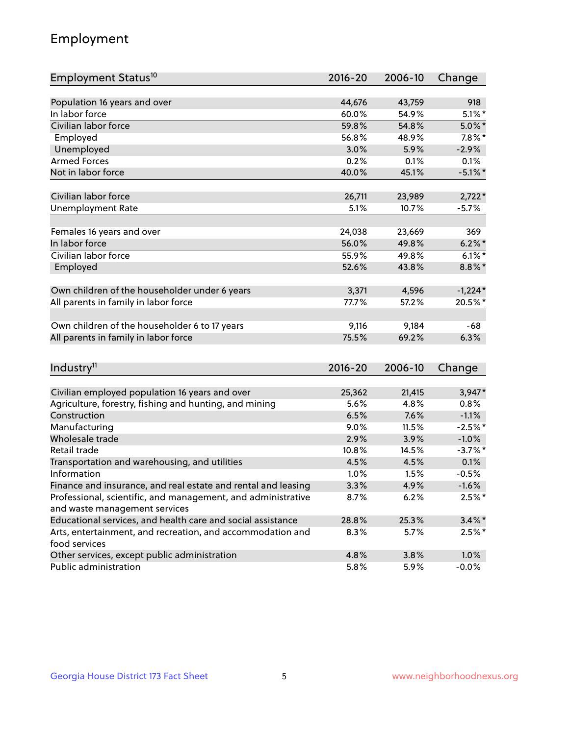## Employment

| Employment Status <sup>10</sup>                                             | $2016 - 20$ | 2006-10 | Change     |
|-----------------------------------------------------------------------------|-------------|---------|------------|
|                                                                             |             |         |            |
| Population 16 years and over                                                | 44,676      | 43,759  | 918        |
| In labor force                                                              | 60.0%       | 54.9%   | $5.1\%$ *  |
| Civilian labor force                                                        | 59.8%       | 54.8%   | $5.0\%$ *  |
| Employed                                                                    | 56.8%       | 48.9%   | $7.8\%$ *  |
| Unemployed                                                                  | 3.0%        | 5.9%    | $-2.9%$    |
| <b>Armed Forces</b>                                                         | 0.2%        | 0.1%    | 0.1%       |
| Not in labor force                                                          | 40.0%       | 45.1%   | $-5.1\%$ * |
| Civilian labor force                                                        | 26,711      | 23,989  | $2,722*$   |
|                                                                             | 5.1%        | 10.7%   | $-5.7%$    |
| <b>Unemployment Rate</b>                                                    |             |         |            |
| Females 16 years and over                                                   | 24,038      | 23,669  | 369        |
| In labor force                                                              | 56.0%       | 49.8%   | $6.2\%$ *  |
| Civilian labor force                                                        | 55.9%       | 49.8%   | $6.1\%$ *  |
| Employed                                                                    | 52.6%       | 43.8%   | $8.8\%$ *  |
|                                                                             |             |         |            |
| Own children of the householder under 6 years                               | 3,371       | 4,596   | $-1,224*$  |
| All parents in family in labor force                                        | 77.7%       | 57.2%   | 20.5%*     |
| Own children of the householder 6 to 17 years                               | 9,116       | 9,184   | $-68$      |
| All parents in family in labor force                                        | 75.5%       | 69.2%   | 6.3%       |
|                                                                             |             |         |            |
| Industry <sup>11</sup>                                                      | 2016-20     | 2006-10 | Change     |
|                                                                             |             |         |            |
| Civilian employed population 16 years and over                              | 25,362      | 21,415  | $3,947*$   |
| Agriculture, forestry, fishing and hunting, and mining                      | 5.6%        | 4.8%    | 0.8%       |
| Construction                                                                | 6.5%        | 7.6%    | $-1.1%$    |
| Manufacturing                                                               | 9.0%        | 11.5%   | $-2.5%$ *  |
| Wholesale trade                                                             | 2.9%        | 3.9%    | $-1.0%$    |
| Retail trade                                                                | 10.8%       | 14.5%   | $-3.7\%$ * |
| Transportation and warehousing, and utilities                               | 4.5%        | 4.5%    | 0.1%       |
| Information                                                                 | 1.0%        | 1.5%    | $-0.5%$    |
| Finance and insurance, and real estate and rental and leasing               | 3.3%        | 4.9%    | $-1.6%$    |
| Professional, scientific, and management, and administrative                | 8.7%        | 6.2%    | $2.5%$ *   |
| and waste management services                                               |             |         |            |
| Educational services, and health care and social assistance                 | 28.8%       | 25.3%   | $3.4\%$ *  |
| Arts, entertainment, and recreation, and accommodation and<br>food services | 8.3%        | 5.7%    | $2.5\%$ *  |
| Other services, except public administration                                | 4.8%        | 3.8%    | 1.0%       |
| Public administration                                                       | 5.8%        | 5.9%    | $-0.0%$    |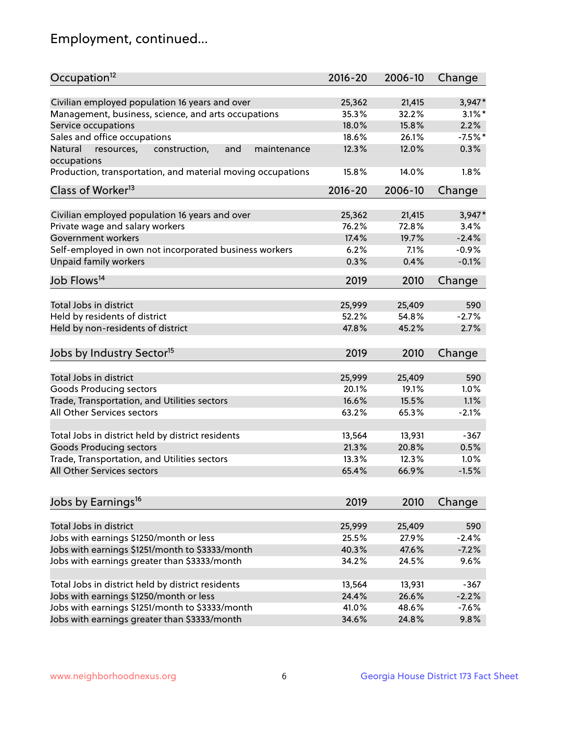## Employment, continued...

| Occupation <sup>12</sup>                                                    | $2016 - 20$ | 2006-10 | Change    |
|-----------------------------------------------------------------------------|-------------|---------|-----------|
| Civilian employed population 16 years and over                              | 25,362      | 21,415  | $3,947*$  |
| Management, business, science, and arts occupations                         | 35.3%       | 32.2%   | $3.1\%$ * |
| Service occupations                                                         | 18.0%       | 15.8%   | 2.2%      |
| Sales and office occupations                                                | 18.6%       | 26.1%   | $-7.5%$ * |
|                                                                             |             |         | 0.3%      |
| Natural<br>and<br>maintenance<br>resources,<br>construction,<br>occupations | 12.3%       | 12.0%   |           |
| Production, transportation, and material moving occupations                 | 15.8%       | 14.0%   | 1.8%      |
| Class of Worker <sup>13</sup>                                               | $2016 - 20$ | 2006-10 | Change    |
|                                                                             |             |         |           |
| Civilian employed population 16 years and over                              | 25,362      | 21,415  | $3,947*$  |
| Private wage and salary workers                                             | 76.2%       | 72.8%   | 3.4%      |
| Government workers                                                          | 17.4%       | 19.7%   | $-2.4%$   |
| Self-employed in own not incorporated business workers                      | 6.2%        | 7.1%    | $-0.9%$   |
| Unpaid family workers                                                       | 0.3%        | 0.4%    | $-0.1%$   |
| Job Flows <sup>14</sup>                                                     | 2019        | 2010    | Change    |
|                                                                             |             |         |           |
| Total Jobs in district                                                      | 25,999      | 25,409  | 590       |
| Held by residents of district                                               | 52.2%       | 54.8%   | $-2.7%$   |
| Held by non-residents of district                                           | 47.8%       | 45.2%   | 2.7%      |
| Jobs by Industry Sector <sup>15</sup>                                       | 2019        | 2010    | Change    |
|                                                                             |             |         |           |
| Total Jobs in district                                                      | 25,999      | 25,409  | 590       |
| Goods Producing sectors                                                     | 20.1%       | 19.1%   | 1.0%      |
| Trade, Transportation, and Utilities sectors                                | 16.6%       | 15.5%   | 1.1%      |
| All Other Services sectors                                                  | 63.2%       | 65.3%   | $-2.1%$   |
| Total Jobs in district held by district residents                           | 13,564      | 13,931  | $-367$    |
| <b>Goods Producing sectors</b>                                              | 21.3%       | 20.8%   | 0.5%      |
| Trade, Transportation, and Utilities sectors                                | 13.3%       | 12.3%   | 1.0%      |
| All Other Services sectors                                                  | 65.4%       | 66.9%   | $-1.5%$   |
|                                                                             |             |         |           |
| Jobs by Earnings <sup>16</sup>                                              | 2019        | 2010    | Change    |
|                                                                             |             |         |           |
| Total Jobs in district                                                      | 25,999      | 25,409  | 590       |
| Jobs with earnings \$1250/month or less                                     | 25.5%       | 27.9%   | $-2.4%$   |
| Jobs with earnings \$1251/month to \$3333/month                             | 40.3%       | 47.6%   | $-7.2%$   |
| Jobs with earnings greater than \$3333/month                                | 34.2%       | 24.5%   | 9.6%      |
| Total Jobs in district held by district residents                           | 13,564      | 13,931  | $-367$    |
| Jobs with earnings \$1250/month or less                                     | 24.4%       | 26.6%   | $-2.2%$   |
| Jobs with earnings \$1251/month to \$3333/month                             | 41.0%       | 48.6%   | $-7.6%$   |
| Jobs with earnings greater than \$3333/month                                | 34.6%       | 24.8%   | 9.8%      |
|                                                                             |             |         |           |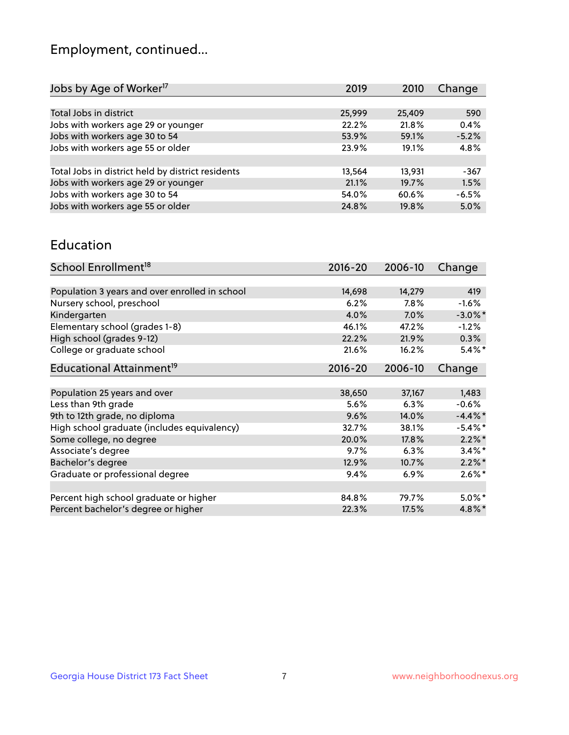## Employment, continued...

| Jobs by Age of Worker <sup>17</sup>               | 2019   | 2010   | Change  |
|---------------------------------------------------|--------|--------|---------|
|                                                   |        |        |         |
| Total Jobs in district                            | 25,999 | 25,409 | 590     |
| Jobs with workers age 29 or younger               | 22.2%  | 21.8%  | 0.4%    |
| Jobs with workers age 30 to 54                    | 53.9%  | 59.1%  | $-5.2%$ |
| Jobs with workers age 55 or older                 | 23.9%  | 19.1%  | 4.8%    |
|                                                   |        |        |         |
| Total Jobs in district held by district residents | 13,564 | 13,931 | -367    |
| Jobs with workers age 29 or younger               | 21.1%  | 19.7%  | 1.5%    |
| Jobs with workers age 30 to 54                    | 54.0%  | 60.6%  | $-6.5%$ |
| Jobs with workers age 55 or older                 | 24.8%  | 19.8%  | 5.0%    |
|                                                   |        |        |         |

#### Education

| School Enrollment <sup>18</sup>                | $2016 - 20$ | 2006-10 | Change     |
|------------------------------------------------|-------------|---------|------------|
|                                                |             |         |            |
| Population 3 years and over enrolled in school | 14,698      | 14,279  | 419        |
| Nursery school, preschool                      | 6.2%        | $7.8\%$ | $-1.6%$    |
| Kindergarten                                   | 4.0%        | 7.0%    | $-3.0\%$ * |
| Elementary school (grades 1-8)                 | 46.1%       | 47.2%   | $-1.2%$    |
| High school (grades 9-12)                      | 22.2%       | 21.9%   | 0.3%       |
| College or graduate school                     | 21.6%       | 16.2%   | $5.4\%$ *  |
| Educational Attainment <sup>19</sup>           | $2016 - 20$ | 2006-10 | Change     |
|                                                |             |         |            |
| Population 25 years and over                   | 38,650      | 37,167  | 1,483      |
| Less than 9th grade                            | 5.6%        | 6.3%    | $-0.6%$    |
| 9th to 12th grade, no diploma                  | 9.6%        | 14.0%   | $-4.4\%$ * |
| High school graduate (includes equivalency)    | 32.7%       | 38.1%   | $-5.4\%$ * |
| Some college, no degree                        | 20.0%       | 17.8%   | $2.2\%$ *  |
| Associate's degree                             | 9.7%        | 6.3%    | $3.4\%$ *  |
| Bachelor's degree                              | 12.9%       | 10.7%   | $2.2\%$ *  |
| Graduate or professional degree                | 9.4%        | 6.9%    | $2.6\%$ *  |
|                                                |             |         |            |
| Percent high school graduate or higher         | 84.8%       | 79.7%   | $5.0\%$ *  |
| Percent bachelor's degree or higher            | 22.3%       | 17.5%   | $4.8\%$ *  |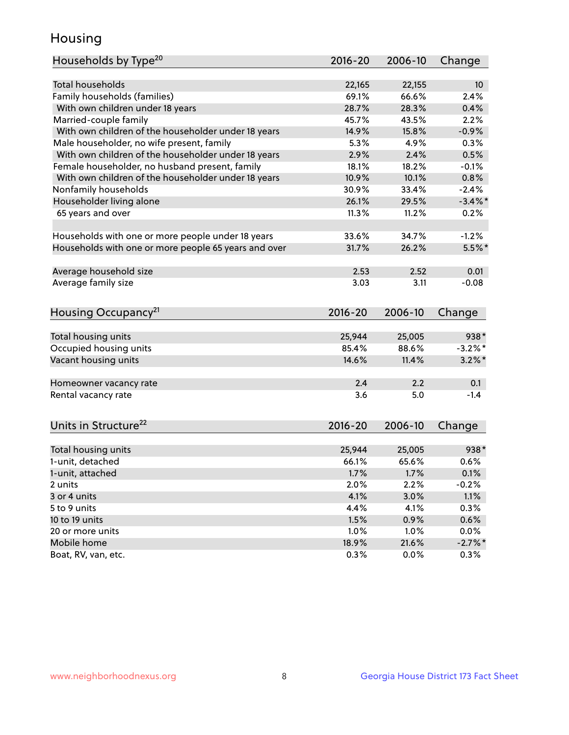## Housing

| Households by Type <sup>20</sup>                     | 2016-20       | 2006-10       | Change             |
|------------------------------------------------------|---------------|---------------|--------------------|
|                                                      |               |               |                    |
| <b>Total households</b>                              | 22,165        | 22,155        | 10                 |
| Family households (families)                         | 69.1%         | 66.6%         | 2.4%               |
| With own children under 18 years                     | 28.7%         | 28.3%         | 0.4%               |
| Married-couple family                                | 45.7%         | 43.5%         | 2.2%               |
| With own children of the householder under 18 years  | 14.9%         | 15.8%         | $-0.9%$            |
| Male householder, no wife present, family            | 5.3%          | 4.9%          | 0.3%               |
| With own children of the householder under 18 years  | 2.9%          | 2.4%          | 0.5%               |
| Female householder, no husband present, family       | 18.1%         | 18.2%         | $-0.1%$            |
| With own children of the householder under 18 years  | 10.9%         | 10.1%         | 0.8%               |
| Nonfamily households                                 | 30.9%         | 33.4%         | $-2.4%$            |
| Householder living alone                             | 26.1%         | 29.5%         | $-3.4\%$ *         |
| 65 years and over                                    | 11.3%         | 11.2%         | 0.2%               |
| Households with one or more people under 18 years    | 33.6%         | 34.7%         | $-1.2%$            |
| Households with one or more people 65 years and over | 31.7%         | 26.2%         | $5.5%$ *           |
|                                                      |               |               |                    |
| Average household size                               | 2.53          | 2.52          | 0.01               |
| Average family size                                  | 3.03          | 3.11          | $-0.08$            |
|                                                      |               |               |                    |
| Housing Occupancy <sup>21</sup>                      | 2016-20       | 2006-10       | Change             |
| Total housing units                                  | 25,944        | 25,005        | 938*               |
| Occupied housing units                               | 85.4%         | 88.6%         | $-3.2\%$ *         |
| Vacant housing units                                 | 14.6%         | 11.4%         | $3.2\%$ *          |
|                                                      |               |               |                    |
| Homeowner vacancy rate                               | 2.4           | 2.2           | 0.1                |
| Rental vacancy rate                                  | 3.6           | 5.0           | $-1.4$             |
|                                                      |               |               |                    |
| Units in Structure <sup>22</sup>                     | $2016 - 20$   | 2006-10       | Change             |
|                                                      |               |               |                    |
|                                                      |               |               |                    |
| Total housing units                                  | 25,944        | 25,005        | 938*               |
| 1-unit, detached                                     | 66.1%         | 65.6%         | 0.6%               |
| 1-unit, attached                                     | 1.7%          | 1.7%          | 0.1%               |
| 2 units                                              | 2.0%          | 2.2%          | $-0.2%$            |
| 3 or 4 units                                         | 4.1%          | 3.0%          | 1.1%               |
| 5 to 9 units                                         | 4.4%          | 4.1%          | 0.3%               |
| 10 to 19 units                                       | 1.5%          | 0.9%          | 0.6%               |
| 20 or more units                                     | 1.0%          | 1.0%          | 0.0%               |
| Mobile home<br>Boat, RV, van, etc.                   | 18.9%<br>0.3% | 21.6%<br>0.0% | $-2.7\%$ *<br>0.3% |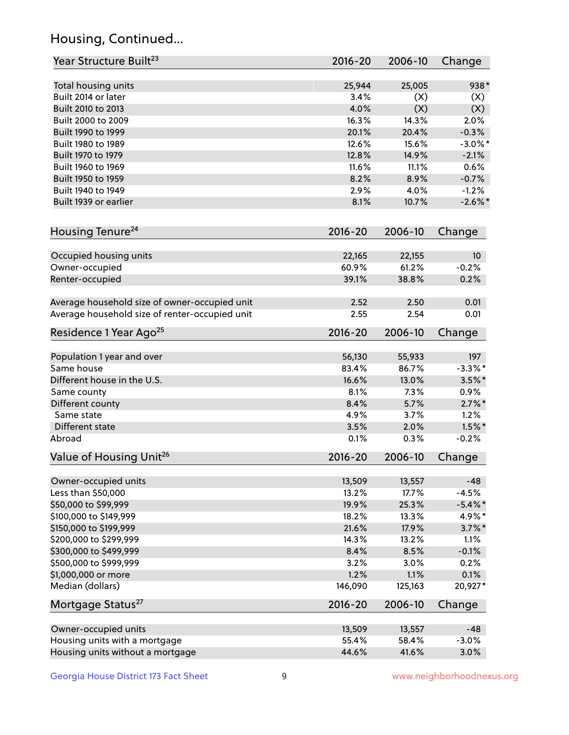## Housing, Continued...

| Year Structure Built <sup>23</sup>             | 2016-20         | 2006-10         | Change            |
|------------------------------------------------|-----------------|-----------------|-------------------|
| Total housing units                            | 25,944          | 25,005          | 938*              |
| Built 2014 or later                            | 3.4%            | (X)             | (X)               |
| Built 2010 to 2013                             | 4.0%            | (X)             | (X)               |
| Built 2000 to 2009                             | 16.3%           | 14.3%           | 2.0%              |
| Built 1990 to 1999                             | 20.1%           | 20.4%           | $-0.3%$           |
| Built 1980 to 1989                             | 12.6%           | 15.6%           | $-3.0\%$ *        |
| Built 1970 to 1979                             | 12.8%           | 14.9%           | $-2.1%$           |
| Built 1960 to 1969                             | 11.6%           | 11.1%           | 0.6%              |
| Built 1950 to 1959                             | 8.2%            | 8.9%            | $-0.7%$           |
| Built 1940 to 1949                             | 2.9%            | 4.0%            | $-1.2%$           |
|                                                |                 |                 |                   |
| Built 1939 or earlier                          | 8.1%            | 10.7%           | $-2.6\%$ *        |
| Housing Tenure <sup>24</sup>                   | $2016 - 20$     | 2006-10         | Change            |
| Occupied housing units                         | 22,165          | 22,155          | 10                |
| Owner-occupied                                 | 60.9%           | 61.2%           | $-0.2%$           |
| Renter-occupied                                | 39.1%           | 38.8%           | 0.2%              |
| Average household size of owner-occupied unit  | 2.52            | 2.50            | 0.01              |
| Average household size of renter-occupied unit | 2.55            | 2.54            | 0.01              |
| Residence 1 Year Ago <sup>25</sup>             | $2016 - 20$     | 2006-10         | Change            |
|                                                |                 |                 |                   |
| Population 1 year and over<br>Same house       | 56,130<br>83.4% | 55,933<br>86.7% | 197<br>$-3.3\%$ * |
|                                                |                 |                 |                   |
| Different house in the U.S.                    | 16.6%           | 13.0%           | $3.5\%$ *         |
| Same county                                    | 8.1%            | 7.3%            | 0.9%              |
| Different county                               | 8.4%            | 5.7%            | $2.7\%$ *         |
| Same state                                     | 4.9%            | 3.7%            | 1.2%              |
| Different state                                | 3.5%            | 2.0%            | $1.5\%$ *         |
| Abroad                                         | 0.1%            | 0.3%            | $-0.2%$           |
| Value of Housing Unit <sup>26</sup>            | $2016 - 20$     | 2006-10         | Change            |
| Owner-occupied units                           | 13,509          | 13,557          | $-48$             |
| Less than \$50,000                             | 13.2%           | 17.7%           | $-4.5%$           |
| \$50,000 to \$99,999                           | 19.9%           | 25.3%           | $-5.4\%$ *        |
| \$100,000 to \$149,999                         | 18.2%           | 13.3%           | 4.9%*             |
| \$150,000 to \$199,999                         | 21.6%           | 17.9%           | $3.7\%$ *         |
| \$200,000 to \$299,999                         | 14.3%           | 13.2%           | 1.1%              |
| \$300,000 to \$499,999                         | 8.4%            | 8.5%            | $-0.1%$           |
| \$500,000 to \$999,999                         | 3.2%            | 3.0%            | 0.2%              |
| \$1,000,000 or more                            | 1.2%            | 1.1%            | 0.1%              |
| Median (dollars)                               | 146,090         | 125,163         | 20,927*           |
| Mortgage Status <sup>27</sup>                  | $2016 - 20$     | 2006-10         | Change            |
| Owner-occupied units                           | 13,509          | 13,557          | $-48$             |
| Housing units with a mortgage                  | 55.4%           | 58.4%           | $-3.0%$           |
| Housing units without a mortgage               | 44.6%           | 41.6%           | 3.0%              |
|                                                |                 |                 |                   |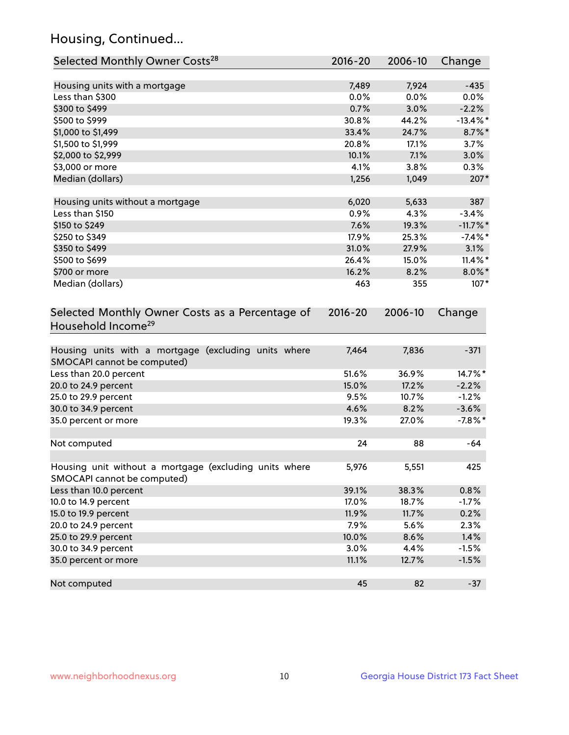## Housing, Continued...

| Selected Monthly Owner Costs <sup>28</sup>                                            | 2016-20     | 2006-10 | Change      |
|---------------------------------------------------------------------------------------|-------------|---------|-------------|
| Housing units with a mortgage                                                         | 7,489       | 7,924   | $-435$      |
| Less than \$300                                                                       | 0.0%        | 0.0%    | 0.0%        |
| \$300 to \$499                                                                        | 0.7%        | 3.0%    | $-2.2%$     |
| \$500 to \$999                                                                        | 30.8%       | 44.2%   | $-13.4\%$ * |
| \$1,000 to \$1,499                                                                    | 33.4%       | 24.7%   | 8.7%*       |
| \$1,500 to \$1,999                                                                    | 20.8%       | 17.1%   | 3.7%        |
| \$2,000 to \$2,999                                                                    | 10.1%       | 7.1%    | 3.0%        |
| \$3,000 or more                                                                       | 4.1%        | 3.8%    | 0.3%        |
| Median (dollars)                                                                      | 1,256       | 1,049   | 207*        |
| Housing units without a mortgage                                                      | 6,020       | 5,633   | 387         |
| Less than \$150                                                                       | 0.9%        | 4.3%    | $-3.4%$     |
| \$150 to \$249                                                                        | 7.6%        | 19.3%   | $-11.7\%$ * |
| \$250 to \$349                                                                        | 17.9%       | 25.3%   | $-7.4%$ *   |
| \$350 to \$499                                                                        | 31.0%       | 27.9%   | 3.1%        |
| \$500 to \$699                                                                        | 26.4%       | 15.0%   | $11.4\%$ *  |
| \$700 or more                                                                         | 16.2%       | 8.2%    | $8.0\%$ *   |
| Median (dollars)                                                                      | 463         | 355     | $107*$      |
| Selected Monthly Owner Costs as a Percentage of<br>Household Income <sup>29</sup>     | $2016 - 20$ | 2006-10 | Change      |
| Housing units with a mortgage (excluding units where<br>SMOCAPI cannot be computed)   | 7,464       | 7,836   | $-371$      |
| Less than 20.0 percent                                                                | 51.6%       | 36.9%   | 14.7%*      |
| 20.0 to 24.9 percent                                                                  | 15.0%       | 17.2%   | $-2.2%$     |
| 25.0 to 29.9 percent                                                                  | 9.5%        | 10.7%   | $-1.2%$     |
| 30.0 to 34.9 percent                                                                  | 4.6%        | 8.2%    | $-3.6%$     |
| 35.0 percent or more                                                                  | 19.3%       | 27.0%   | $-7.8\%$ *  |
| Not computed                                                                          | 24          | 88      | $-64$       |
| Housing unit without a mortgage (excluding units where<br>SMOCAPI cannot be computed) | 5,976       | 5,551   | 425         |
| Less than 10.0 percent                                                                | 39.1%       | 38.3%   | 0.8%        |
| 10.0 to 14.9 percent                                                                  | 17.0%       | 18.7%   | $-1.7%$     |
| 15.0 to 19.9 percent                                                                  | 11.9%       | 11.7%   | 0.2%        |
| 20.0 to 24.9 percent                                                                  | 7.9%        | 5.6%    | 2.3%        |
| 25.0 to 29.9 percent                                                                  | 10.0%       | 8.6%    | 1.4%        |
| 30.0 to 34.9 percent                                                                  | 3.0%        | 4.4%    | $-1.5%$     |
| 35.0 percent or more                                                                  | 11.1%       | 12.7%   | $-1.5%$     |
| Not computed                                                                          | 45          | 82      | $-37$       |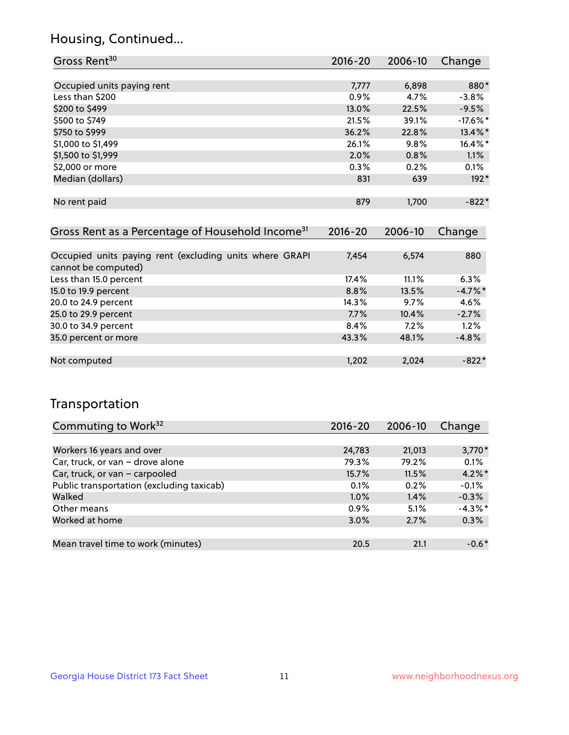## Housing, Continued...

| Gross Rent <sup>30</sup>                                                       | 2016-20     | 2006-10 | Change      |
|--------------------------------------------------------------------------------|-------------|---------|-------------|
|                                                                                |             |         |             |
| Occupied units paying rent                                                     | 7,777       | 6,898   | 880*        |
| Less than \$200                                                                | $0.9\%$     | 4.7%    | $-3.8%$     |
| \$200 to \$499                                                                 | 13.0%       | 22.5%   | $-9.5%$     |
| \$500 to \$749                                                                 | 21.5%       | 39.1%   | $-17.6\%$ * |
| \$750 to \$999                                                                 | 36.2%       | 22.8%   | 13.4%*      |
| \$1,000 to \$1,499                                                             | 26.1%       | 9.8%    | $16.4\%$ *  |
| \$1,500 to \$1,999                                                             | 2.0%        | 0.8%    | $1.1\%$     |
| \$2,000 or more                                                                | $0.3\%$     | 0.2%    | $0.1\%$     |
| Median (dollars)                                                               | 831         | 639     | $192*$      |
|                                                                                |             |         |             |
| No rent paid                                                                   | 879         | 1,700   | $-822*$     |
|                                                                                |             |         |             |
| Gross Rent as a Percentage of Household Income <sup>31</sup>                   | $2016 - 20$ | 2006-10 | Change      |
|                                                                                |             |         |             |
| Occupied units paying rent (excluding units where GRAPI<br>cannot he computed) | 7,454       | 6,574   | 880         |

| cannot be computed)    |       |       |            |
|------------------------|-------|-------|------------|
| Less than 15.0 percent | 17.4% | 11.1% | 6.3%       |
| 15.0 to 19.9 percent   | 8.8%  | 13.5% | $-4.7\%$ * |
| 20.0 to 24.9 percent   | 14.3% | 9.7%  | 4.6%       |
| 25.0 to 29.9 percent   | 7.7%  | 10.4% | $-2.7%$    |
| 30.0 to 34.9 percent   | 8.4%  | 7.2%  | 1.2%       |
| 35.0 percent or more   | 43.3% | 48.1% | $-4.8%$    |
|                        |       |       |            |
| Not computed           | 1,202 | 2,024 | $-822*$    |

## Transportation

| Commuting to Work <sup>32</sup>           | 2016-20 | 2006-10 | Change     |
|-------------------------------------------|---------|---------|------------|
|                                           |         |         |            |
| Workers 16 years and over                 | 24,783  | 21,013  | $3,770*$   |
| Car, truck, or van - drove alone          | 79.3%   | 79.2%   | 0.1%       |
| Car, truck, or van - carpooled            | 15.7%   | 11.5%   | $4.2\%$ *  |
| Public transportation (excluding taxicab) | $0.1\%$ | 0.2%    | $-0.1%$    |
| Walked                                    | 1.0%    | 1.4%    | $-0.3%$    |
| Other means                               | $0.9\%$ | 5.1%    | $-4.3\%$ * |
| Worked at home                            | 3.0%    | 2.7%    | 0.3%       |
|                                           |         |         |            |
| Mean travel time to work (minutes)        | 20.5    | 21.1    | $-0.6*$    |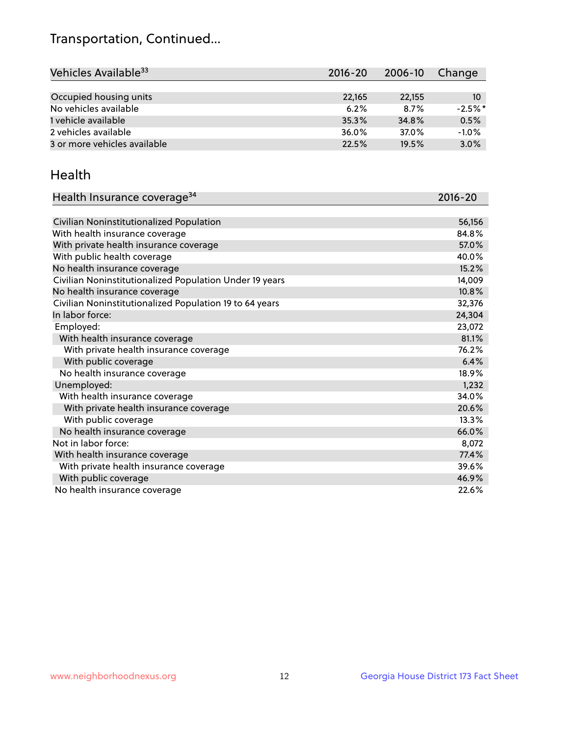## Transportation, Continued...

| Vehicles Available <sup>33</sup> | 2016-20 | 2006-10 | Change     |
|----------------------------------|---------|---------|------------|
|                                  |         |         |            |
| Occupied housing units           | 22,165  | 22,155  | 10         |
| No vehicles available            | 6.2%    | 8.7%    | $-2.5\%$ * |
| 1 vehicle available              | 35.3%   | 34.8%   | 0.5%       |
| 2 vehicles available             | 36.0%   | 37.0%   | $-1.0%$    |
| 3 or more vehicles available     | 22.5%   | 19.5%   | 3.0%       |
|                                  |         |         |            |

#### Health

| Health Insurance coverage <sup>34</sup>                 | 2016-20 |
|---------------------------------------------------------|---------|
|                                                         |         |
| Civilian Noninstitutionalized Population                | 56,156  |
| With health insurance coverage                          | 84.8%   |
| With private health insurance coverage                  | 57.0%   |
| With public health coverage                             | 40.0%   |
| No health insurance coverage                            | 15.2%   |
| Civilian Noninstitutionalized Population Under 19 years | 14,009  |
| No health insurance coverage                            | 10.8%   |
| Civilian Noninstitutionalized Population 19 to 64 years | 32,376  |
| In labor force:                                         | 24,304  |
| Employed:                                               | 23,072  |
| With health insurance coverage                          | 81.1%   |
| With private health insurance coverage                  | 76.2%   |
| With public coverage                                    | 6.4%    |
| No health insurance coverage                            | 18.9%   |
| Unemployed:                                             | 1,232   |
| With health insurance coverage                          | 34.0%   |
| With private health insurance coverage                  | 20.6%   |
| With public coverage                                    | 13.3%   |
| No health insurance coverage                            | 66.0%   |
| Not in labor force:                                     | 8,072   |
| With health insurance coverage                          | 77.4%   |
| With private health insurance coverage                  | 39.6%   |
| With public coverage                                    | 46.9%   |
| No health insurance coverage                            | 22.6%   |